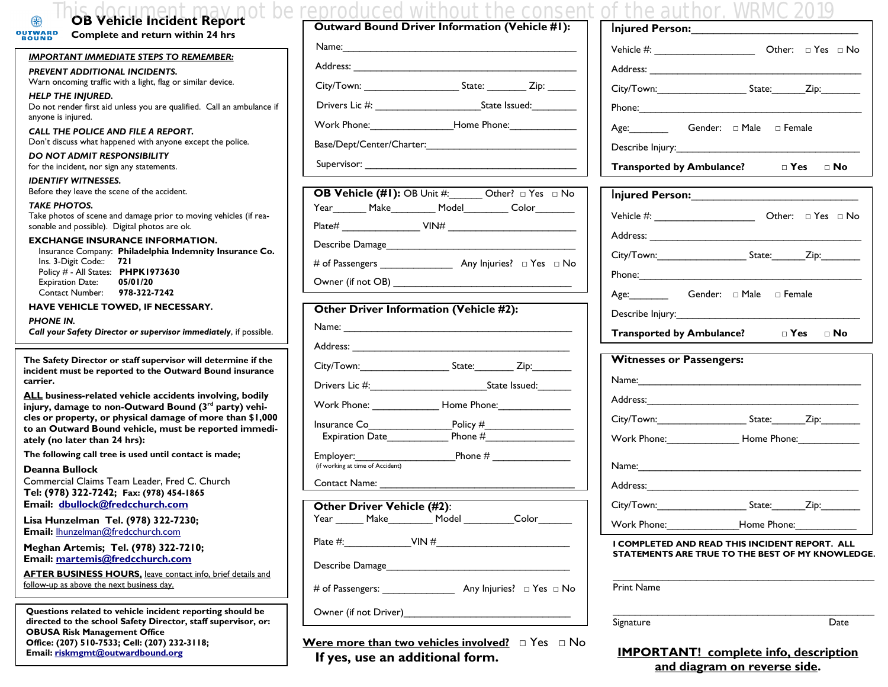## This document may not be reproduced without the consent of the author. WRMC 2019<br> **Complete and infurm within 24 km**  $\bigcirc$

|  | OUTWARD |  |  |
|--|---------|--|--|
|  | ROUND   |  |  |

**Complete and return within 24 hrs**

#### *IMPORTANT IMMEDIATE STEPS TO REMEMBER:*

*PREVENT ADDITIONAL INCIDENTS.* Warn oncoming traffic with a light, flag or similar device.

*HELP THE INJURED.* Do not render first aid unless you are qualified. Call an ambulance if anyone is injured.

*CALL THE POLICE AND FILE A REPORT.* Don't discuss what happened with anyone except the police.

*DO NOT ADMIT RESPONSIBILITY* for the incident, nor sign any statements.

*IDENTIFY WITNESSES.*  Before they leave the scene of the accident.

*TAKE PHOTOS.*  Take photos of scene and damage prior to moving vehicles (if reasonable and possible). Digital photos are ok.

**EXCHANGE INSURANCE INFORMATION.**  Insurance Company: **Philadelphia Indemnity Insurance Co.**  Ins. 3-Digit Code:: **721**

Policy # - All States: **PHPK1973630**  Expiration Date: **05/01/20** Contact Number: **978-322-7242**

## **HAVE VEHICLE TOWED, IF NECESSARY.**

*PHONE IN.*

*Call your Safety Director or supervisor immediately*, if possible.

**The Safety Director or staff supervisor will determine if the incident must be reported to the Outward Bound insurance carrier.** 

**ALL business-related vehicle accidents involving, bodily injury, damage to non-Outward Bound (3rd party) vehicles or property, or physical damage of more than \$1,000 to an Outward Bound vehicle, must be reported immediately (no later than 24 hrs):**

**The following call tree is used until contact is made;**

## **Deanna Bullock**

Commercial Claims Team Leader, Fred C. Church **Tel: (978) 322-7242; Fax: (978) 454-1865 Email: [dbullock@fredcchurch.com](mailto:dbullock@fredcchurch.com)**

**Lisa Hunzelman Tel. (978) 322-7230; Email:** [lhunzelman@fredcchurch.com](mailto:bfraites@fredcchurch.com)

**Meghan Artemis; Tel. (978) 322-7210; Email: [martemis@fredcchurch.com](mailto:martemis@fredcchurch.com)**

**AFTER BUSINESS HOURS,** leave contact info, brief details and follow-up as above the next business day.

**Questions related to vehicle incident reporting should be directed to the school Safety Director, staff supervisor, or: OBUSA Risk Management Office Office: (207) 510-7533; Cell: (207) 232-3118; Email: [riskmgmt@outwardbound.org](mailto:riskmgmt@outwardbound.org)**

| Outward Bound Driver Information (Vehicle #1):                                   |  |  |  |  |  |  |
|----------------------------------------------------------------------------------|--|--|--|--|--|--|
|                                                                                  |  |  |  |  |  |  |
|                                                                                  |  |  |  |  |  |  |
|                                                                                  |  |  |  |  |  |  |
|                                                                                  |  |  |  |  |  |  |
| Work Phone: __________________________Home Phone: ______________________________ |  |  |  |  |  |  |
|                                                                                  |  |  |  |  |  |  |
| Supervisor:                                                                      |  |  |  |  |  |  |

## **OB Vehicle (#1):** OB Unit #: \_\_\_\_\_ Other? □ Yes □ No Year Make Model Color Plate# \_\_\_\_\_\_\_\_\_\_\_\_\_\_ VIN# \_\_\_\_\_\_\_\_\_\_\_\_\_\_\_\_\_\_\_\_\_\_\_ Describe Damage\_\_\_\_\_\_\_\_\_\_\_\_\_\_\_\_\_\_\_\_\_\_\_\_\_\_\_\_\_\_\_\_\_\_ # of Passengers  $\overline{a}$  Any Injuries?  $\Box$  Yes  $\Box$  No Owner (if not OB) \_\_\_\_\_\_\_\_\_\_\_\_\_\_\_\_\_\_\_\_\_\_\_\_\_\_\_\_\_\_\_\_

| Other Driver Information (Vehicle #2): |  |
|----------------------------------------|--|
|                                        |  |
|                                        |  |
|                                        |  |
|                                        |  |
|                                        |  |
|                                        |  |
| (if working at time of Accident)       |  |
|                                        |  |
|                                        |  |
| Other Driver Vehicle (#2):             |  |

Year \_\_\_\_\_\_ Make \_\_\_\_\_\_\_ Model \_\_\_\_\_\_\_\_ Color\_\_\_\_\_\_\_

Plate  $\#$ :  $\qquad \qquad$  VIN  $\#$ 

Describe Damage

# of Passengers: \_\_\_\_\_\_\_\_\_\_\_\_\_ Any Injuries? □ Yes □ No

Owner (if not Driver)\_\_\_\_\_\_\_\_\_\_\_\_\_\_\_\_\_\_\_\_\_\_\_\_\_\_\_\_\_\_

**Were more than two vehicles involved?** □ Yes □ No  **If yes, use an additional form.**

| Vehicle #: _______________________                        |  |            | Other: $\Box$ Yes $\Box$ No |
|-----------------------------------------------------------|--|------------|-----------------------------|
|                                                           |  |            |                             |
|                                                           |  |            |                             |
|                                                           |  |            |                             |
| Age: Gender: <sub> Gender</sub> Male <sub> I</sub> Female |  |            |                             |
|                                                           |  |            |                             |
| <b>Transported by Ambulance?</b>                          |  | □ Yes □ No |                             |

| <b>Transported by Ambulance?</b> $\Box$ Yes $\Box$ No                                                          |  |  |  |  |  |  |
|----------------------------------------------------------------------------------------------------------------|--|--|--|--|--|--|
| <b>Witnesses or Passengers:</b>                                                                                |  |  |  |  |  |  |
|                                                                                                                |  |  |  |  |  |  |
| Name: 2008 - 2008 - 2008 - 2010 - 2011 - 2012 - 2012 - 2013 - 2014 - 2014 - 2014 - 2014 - 2014 - 2014 - 2014 - |  |  |  |  |  |  |
|                                                                                                                |  |  |  |  |  |  |
|                                                                                                                |  |  |  |  |  |  |
|                                                                                                                |  |  |  |  |  |  |
| Work Phone: ____________________ Home Phone: _______________                                                   |  |  |  |  |  |  |
|                                                                                                                |  |  |  |  |  |  |

City/Town: State: Zip: Work Phone: The Phone: Thome Phone:

**I COMPLETED AND READ THIS INCIDENT REPORT. ALL STATEMENTS ARE TRUE TO THE BEST OF MY KNOWLEDGE.**

\_\_\_\_\_\_\_\_\_\_\_\_\_\_\_\_\_\_\_\_\_\_\_\_\_\_\_\_\_\_\_\_\_\_\_\_\_\_\_\_\_\_\_\_\_\_\_

\_\_\_\_\_\_\_\_\_\_\_\_\_\_\_\_\_\_\_\_\_\_\_\_\_\_\_\_\_\_\_\_\_\_\_\_\_\_\_\_\_\_\_\_\_\_\_

Print Name

Signature Date

## **IMPORTANT! complete info, description and diagram on reverse side.**